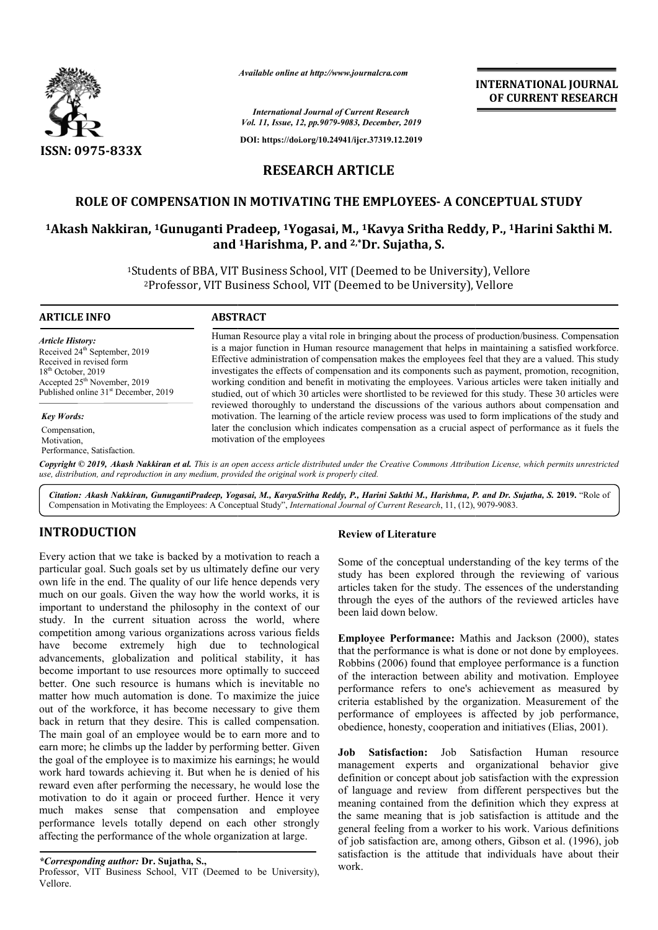

*Available online at http://www.journalcra.com*

**INTERNATIONAL JOURNAL OF CURRENT RESEARCH**

*International Journal of Current Research Vol. 11, Issue, 12, pp.9079-9083, December, 2019*

**DOI: https://doi.org/10.24941/ijcr.37319.12.2019**

# **RESEARCH ARTICLE**

# **ROLE OF COMPENSATION IN MOTIVATING THE EMPLOYEES EMPLOYEES- A CONCEPTUAL STUDY**

# **1Akash Nakkiran, 1Gunuganti Pradeep, 1Yogasai, M., 1Kavya Sritha Reddy, P., 1Harini Sakthi M. and 1Harishma, P. and 2,\*Dr. Sujatha, S.**

<sup>1</sup>Students of BBA, VIT Business School, VIT (Deemed to be University), Vellore<sup>2</sup>Professor, VIT Business School, VIT (Deemed to be University), Vellore udents of BBA, VIT Business School, VIT (Deemed to be University), Vell<br><sup>2</sup>Professor, VIT Business School, VIT (Deemed to be University), Vellore

#### **ARTICLE INFO ABSTRACT**

*Article History:* Received 24<sup>th</sup> September, 2019 Received in revised form 18<sup>th</sup> October, 2019 Accepted 25<sup>th</sup> November, 2019 Published online 31<sup>st</sup> December, 2019

*Key Words:*

Compensation, Motivation, Performance, Satisfaction.

Human Resource play a vital role in bringing about the process of production/business. Compensation is a major function in Human resource management that helps in maintaining a satisfied workforce. Effective administration of compensation makes the employees feel that they are a valued. This study investigates the effects of compensation and its components such as payment, promotion, recognition, working condition and benefit in motivating the employees. Various articles were taken initially and studied, out of which 30 articles were shortlisted to be reviewed for this study. These 30 articles were reviewed thoroughly to understand the discussions of the various authors about compensation and Human Resource play a vital role in bringing about the process of production/business. Compensation is a major function in Human resource management that helps in maintaining a satisfied workforce. Effective administration later the conclusion which indicates compensation as a crucial aspect of performance as it fuels the motivation of the employees HUMBRAN EXPERIMATIONAL JOURNAL<br>
For the Research of Fig. 2019<br>
Fig.7319.12.2019<br>
TICLE<br>
E EMPLOYEES- A CONCEPTUAL STUDY<br>
TICLE<br>
E EMPLOYEES- A CONCEPTUAL STUDY<br>
TICLE<br>
Depended to be University), Vellore<br>
meand to be Unive

Copyright © 2019, Akash Nakkiran et al. This is an open access article distributed under the Creative Commons Attribution License, which permits unrestricted *use, distribution, and reproduction in any medium, provided the original work is properly cited.*

*Citation: Akash Nakkiran, GunugantiPradeep, Yogasai, M., KavyaSritha Reddy, P., Harini Sakthi M., Harishma, P. and Dr. Sujatha, S.* **2019.** "Role of Compensation in Motivating the Employees: A Conceptual Study", *International Journal of Current Research*, 11, (12), 9079-9083.

# **INTRODUCTION**

Every action that we take is backed by a motivation to reach a particular goal. Such goals set by us ultimately define our very own life in the end. The quality of our life hence depends very much on our goals. Given the way how the world works, it is important to understand the philosophy in the context of our study. In the current situation across the world, where competition among various organizations across various fields have become extremely high due to technological advancements, globalization and political stability, it has become important to use resources more optimally to succeed better. One such resource is humans which is inevitable no matter how much automation is done. To maximize the juice out of the workforce, it has become necessary to give them back in return that they desire. This is called compensation. The main goal of an employee would be to earn more and to earn more; he climbs up the ladder by performing better. Given the goal of the employee is to maximize his earnings; he would work hard towards achieving it. But when he is denied of his reward even after performing the necessary, he would lose the motivation to do it again or proceed further. Hence it very much makes sense that compensation and employee performance levels totally depend on each other strongly affecting the performance of the whole organization at large. e. To maximize the juice<br>e necessary to give them<br>s is called compensation.<br>Id be to earn more and to<br>v performing better. Given

#### *\*Corresponding author:* **Dr. Sujatha, S.,**

Professor, VIT Business School, VIT (Deemed to be University), Vellore.

## **Review of Literature**

Some of the conceptual understanding of the key terms of the study has been explored through the reviewing of various articles taken for the study. The essences of the understanding through the eyes of the authors of the reviewed articles have been laid down below.

**Employee Performance:** Mathis and Jackson (2000), states that the performance is what is done or not done by employees. Robbins (2006) found that employee performance is a function of the interaction between ability and motivation. Employee performance refers to one's achievement as measured by criteria established by the organization. Measurement of the performance of employees is affected by job performance, obedience, honesty, cooperation and initiatives (Elias, 2001). onceptual understanding of the key terms of the<br>in explored through the reviewing of various<br>for the study. The essences of the understanding<br>ves of the authors of the reviewed articles have<br> $\frac{1}{10}$  below.<br>**Fformance:**

**Job Satisfaction:** Job Satisfaction Human resource management experts and organizational behavior give definition or concept about job satisfaction with the expression of language and review from different perspectives but the meaning contained from the definition which they express at the same meaning that is job satisfaction is attitude and the general feeling from a worker to his work. Various definitions of job satisfaction are, among others, Gibson et al. (1996), job satisfaction is the attitude that individuals have about their work.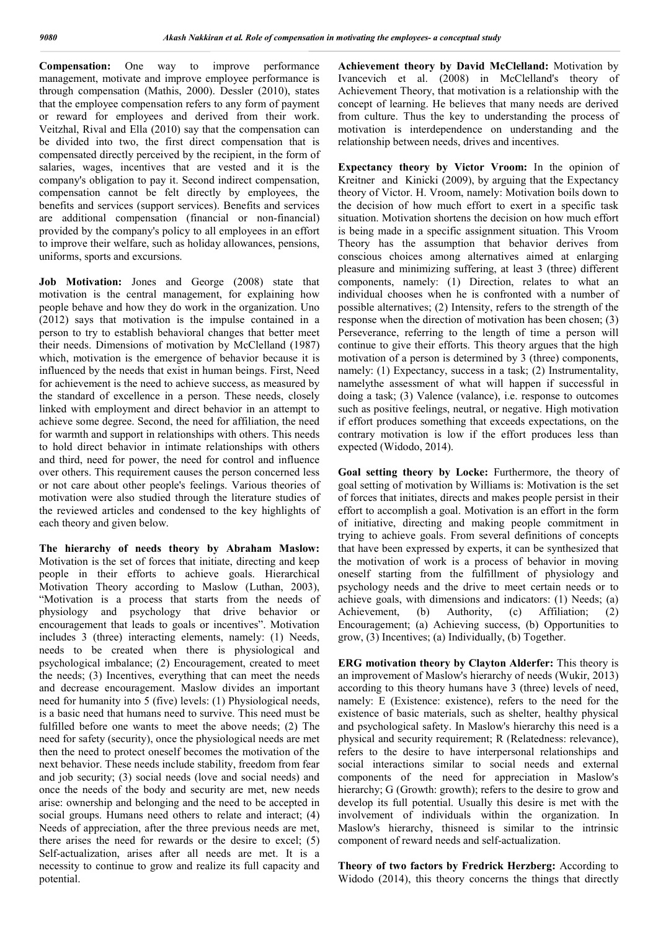**Compensation:** One way to improve performance management, motivate and improve employee performance is through compensation (Mathis, 2000). Dessler (2010), states that the employee compensation refers to any form of payment or reward for employees and derived from their work. Veitzhal, Rival and Ella (2010) say that the compensation can be divided into two, the first direct compensation that is compensated directly perceived by the recipient, in the form of salaries, wages, incentives that are vested and it is the company's obligation to pay it. Second indirect compensation, compensation cannot be felt directly by employees, the benefits and services (support services). Benefits and services are additional compensation (financial or non-financial) provided by the company's policy to all employees in an effort to improve their welfare, such as holiday allowances, pensions, uniforms, sports and excursions.

**Job Motivation:** Jones and George (2008) state that motivation is the central management, for explaining how people behave and how they do work in the organization. Uno (2012) says that motivation is the impulse contained in a person to try to establish behavioral changes that better meet their needs. Dimensions of motivation by McClelland (1987) which, motivation is the emergence of behavior because it is influenced by the needs that exist in human beings. First, Need for achievement is the need to achieve success, as measured by the standard of excellence in a person. These needs, closely linked with employment and direct behavior in an attempt to achieve some degree. Second, the need for affiliation, the need for warmth and support in relationships with others. This needs to hold direct behavior in intimate relationships with others and third, need for power, the need for control and influence over others. This requirement causes the person concerned less or not care about other people's feelings. Various theories of motivation were also studied through the literature studies of the reviewed articles and condensed to the key highlights of each theory and given below.

**The hierarchy of needs theory by Abraham Maslow:**  Motivation is the set of forces that initiate, directing and keep people in their efforts to achieve goals. Hierarchical Motivation Theory according to Maslow (Luthan, 2003), "Motivation is a process that starts from the needs of physiology and psychology that drive behavior or encouragement that leads to goals or incentives". Motivation includes 3 (three) interacting elements, namely: (1) Needs, needs to be created when there is physiological and psychological imbalance; (2) Encouragement, created to meet the needs; (3) Incentives, everything that can meet the needs and decrease encouragement. Maslow divides an important need for humanity into 5 (five) levels: (1) Physiological needs, is a basic need that humans need to survive. This need must be fulfilled before one wants to meet the above needs; (2) The need for safety (security), once the physiological needs are met then the need to protect oneself becomes the motivation of the next behavior. These needs include stability, freedom from fear and job security; (3) social needs (love and social needs) and once the needs of the body and security are met, new needs arise: ownership and belonging and the need to be accepted in social groups. Humans need others to relate and interact; (4) Needs of appreciation, after the three previous needs are met, there arises the need for rewards or the desire to excel; (5) Self-actualization, arises after all needs are met. It is a necessity to continue to grow and realize its full capacity and potential.

**Achievement theory by David McClelland:** Motivation by Ivancevich et al. (2008) in McClelland's theory of Achievement Theory, that motivation is a relationship with the concept of learning. He believes that many needs are derived from culture. Thus the key to understanding the process of motivation is interdependence on understanding and the relationship between needs, drives and incentives.

**Expectancy theory by Victor Vroom:** In the opinion of Kreitner and Kinicki (2009), by arguing that the Expectancy theory of Victor. H. Vroom, namely: Motivation boils down to the decision of how much effort to exert in a specific task situation. Motivation shortens the decision on how much effort is being made in a specific assignment situation. This Vroom Theory has the assumption that behavior derives from conscious choices among alternatives aimed at enlarging pleasure and minimizing suffering, at least 3 (three) different components, namely: (1) Direction, relates to what an individual chooses when he is confronted with a number of possible alternatives; (2) Intensity, refers to the strength of the response when the direction of motivation has been chosen; (3) Perseverance, referring to the length of time a person will continue to give their efforts. This theory argues that the high motivation of a person is determined by 3 (three) components, namely: (1) Expectancy, success in a task; (2) Instrumentality, namelythe assessment of what will happen if successful in doing a task; (3) Valence (valance), i.e. response to outcomes such as positive feelings, neutral, or negative. High motivation if effort produces something that exceeds expectations, on the contrary motivation is low if the effort produces less than expected (Widodo, 2014).

**Goal setting theory by Locke:** Furthermore, the theory of goal setting of motivation by Williams is: Motivation is the set of forces that initiates, directs and makes people persist in their effort to accomplish a goal. Motivation is an effort in the form of initiative, directing and making people commitment in trying to achieve goals. From several definitions of concepts that have been expressed by experts, it can be synthesized that the motivation of work is a process of behavior in moving oneself starting from the fulfillment of physiology and psychology needs and the drive to meet certain needs or to achieve goals, with dimensions and indicators: (1) Needs; (a) Achievement, (b) Authority, (c) Affiliation; (2) Encouragement; (a) Achieving success, (b) Opportunities to grow, (3) Incentives; (a) Individually, (b) Together.

**ERG motivation theory by Clayton Alderfer:** This theory is an improvement of Maslow's hierarchy of needs (Wukir, 2013) according to this theory humans have 3 (three) levels of need, namely: E (Existence: existence), refers to the need for the existence of basic materials, such as shelter, healthy physical and psychological safety. In Maslow's hierarchy this need is a physical and security requirement; R (Relatedness: relevance), refers to the desire to have interpersonal relationships and social interactions similar to social needs and external components of the need for appreciation in Maslow's hierarchy; G (Growth: growth); refers to the desire to grow and develop its full potential. Usually this desire is met with the involvement of individuals within the organization. In Maslow's hierarchy, thisneed is similar to the intrinsic component of reward needs and self-actualization.

**Theory of two factors by Fredrick Herzberg:** According to Widodo (2014), this theory concerns the things that directly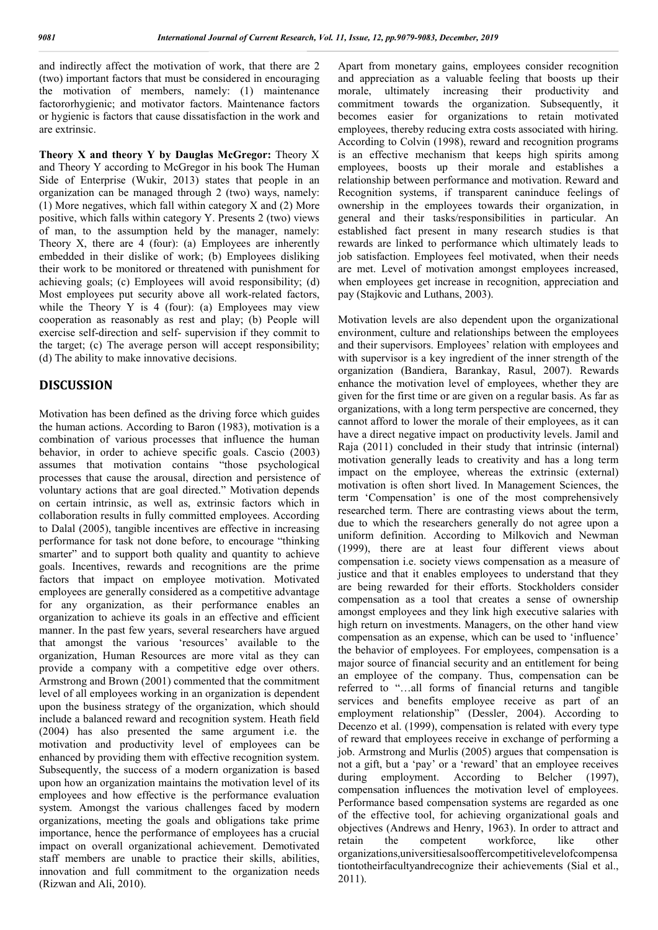and indirectly affect the motivation of work, that there are 2 (two) important factors that must be considered in encouraging the motivation of members, namely: (1) maintenance factororhygienic; and motivator factors. Maintenance factors or hygienic is factors that cause dissatisfaction in the work and are extrinsic.

**Theory X and theory Y by Dauglas McGregor:** Theory X and Theory Y according to McGregor in his book The Human Side of Enterprise (Wukir, 2013) states that people in an organization can be managed through 2 (two) ways, namely: (1) More negatives, which fall within category X and (2) More positive, which falls within category Y. Presents 2 (two) views of man, to the assumption held by the manager, namely: Theory X, there are 4 (four): (a) Employees are inherently embedded in their dislike of work; (b) Employees disliking their work to be monitored or threatened with punishment for achieving goals; (c) Employees will avoid responsibility; (d) Most employees put security above all work-related factors, while the Theory Y is  $4$  (four): (a) Employees may view cooperation as reasonably as rest and play; (b) People will exercise self-direction and self- supervision if they commit to the target; (c) The average person will accept responsibility; (d) The ability to make innovative decisions.

## **DISCUSSION**

Motivation has been defined as the driving force which guides the human actions. According to Baron (1983), motivation is a combination of various processes that influence the human behavior, in order to achieve specific goals. Cascio (2003) assumes that motivation contains "those psychological processes that cause the arousal, direction and persistence of voluntary actions that are goal directed." Motivation depends on certain intrinsic, as well as, extrinsic factors which in collaboration results in fully committed employees. According to Dalal (2005), tangible incentives are effective in increasing performance for task not done before, to encourage "thinking smarter" and to support both quality and quantity to achieve goals. Incentives, rewards and recognitions are the prime factors that impact on employee motivation. Motivated employees are generally considered as a competitive advantage for any organization, as their performance enables an organization to achieve its goals in an effective and efficient manner. In the past few years, several researchers have argued that amongst the various 'resources' available to the organization, Human Resources are more vital as they can provide a company with a competitive edge over others. Armstrong and Brown (2001) commented that the commitment level of all employees working in an organization is dependent upon the business strategy of the organization, which should include a balanced reward and recognition system. Heath field (2004) has also presented the same argument i.e. the motivation and productivity level of employees can be enhanced by providing them with effective recognition system. Subsequently, the success of a modern organization is based upon how an organization maintains the motivation level of its employees and how effective is the performance evaluation system. Amongst the various challenges faced by modern organizations, meeting the goals and obligations take prime importance, hence the performance of employees has a crucial impact on overall organizational achievement. Demotivated staff members are unable to practice their skills, abilities, innovation and full commitment to the organization needs (Rizwan and Ali, 2010).

Apart from monetary gains, employees consider recognition and appreciation as a valuable feeling that boosts up their morale, ultimately increasing their productivity and commitment towards the organization. Subsequently, it becomes easier for organizations to retain motivated employees, thereby reducing extra costs associated with hiring. According to Colvin (1998), reward and recognition programs is an effective mechanism that keeps high spirits among employees, boosts up their morale and establishes a relationship between performance and motivation. Reward and Recognition systems, if transparent caninduce feelings of ownership in the employees towards their organization, in general and their tasks/responsibilities in particular. An established fact present in many research studies is that rewards are linked to performance which ultimately leads to job satisfaction. Employees feel motivated, when their needs are met. Level of motivation amongst employees increased, when employees get increase in recognition, appreciation and pay (Stajkovic and Luthans, 2003).

Motivation levels are also dependent upon the organizational environment, culture and relationships between the employees and their supervisors. Employees' relation with employees and with supervisor is a key ingredient of the inner strength of the organization (Bandiera, Barankay, Rasul, 2007). Rewards enhance the motivation level of employees, whether they are given for the first time or are given on a regular basis. As far as organizations, with a long term perspective are concerned, they cannot afford to lower the morale of their employees, as it can have a direct negative impact on productivity levels. Jamil and Raja (2011) concluded in their study that intrinsic (internal) motivation generally leads to creativity and has a long term impact on the employee, whereas the extrinsic (external) motivation is often short lived. In Management Sciences, the term 'Compensation' is one of the most comprehensively researched term. There are contrasting views about the term, due to which the researchers generally do not agree upon a uniform definition. According to Milkovich and Newman (1999), there are at least four different views about compensation i.e. society views compensation as a measure of justice and that it enables employees to understand that they are being rewarded for their efforts. Stockholders consider compensation as a tool that creates a sense of ownership amongst employees and they link high executive salaries with high return on investments. Managers, on the other hand view compensation as an expense, which can be used to 'influence' the behavior of employees. For employees, compensation is a major source of financial security and an entitlement for being an employee of the company. Thus, compensation can be referred to "…all forms of financial returns and tangible services and benefits employee receive as part of an employment relationship" (Dessler, 2004). According to Decenzo et al. (1999), compensation is related with every type of reward that employees receive in exchange of performing a job. Armstrong and Murlis (2005) argues that compensation is not a gift, but a 'pay' or a 'reward' that an employee receives during employment. According to Belcher (1997), compensation influences the motivation level of employees. Performance based compensation systems are regarded as one of the effective tool, for achieving organizational goals and objectives (Andrews and Henry, 1963). In order to attract and retain the competent workforce, like other organizations,universitiesalsooffercompetitivelevelofcompensa tiontotheirfacultyandrecognize their achievements (Sial et al., 2011).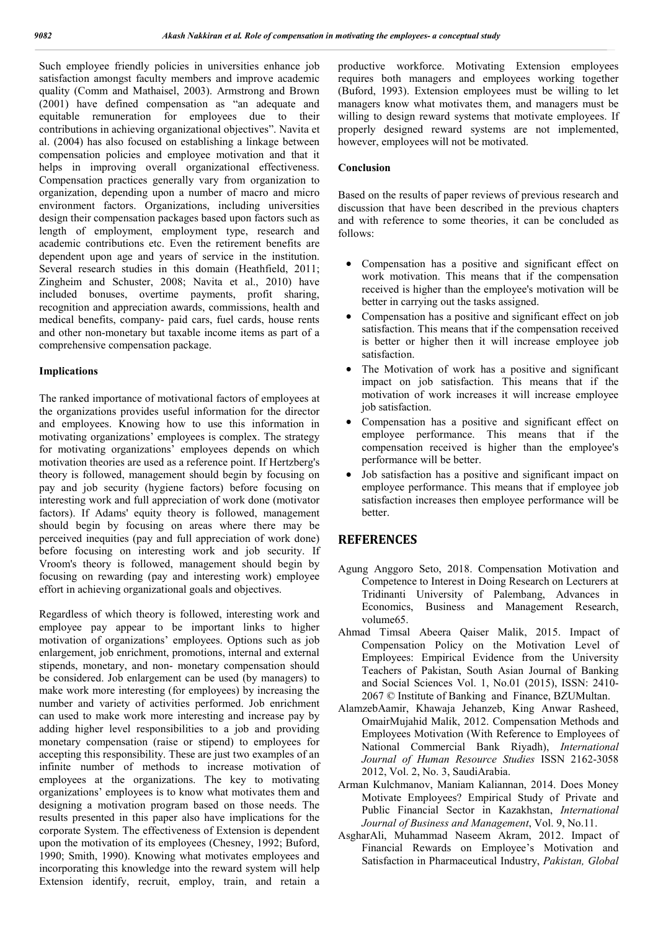Such employee friendly policies in universities enhance job satisfaction amongst faculty members and improve academic quality (Comm and Mathaisel, 2003). Armstrong and Brown (2001) have defined compensation as "an adequate and equitable remuneration for employees due to their contributions in achieving organizational objectives". Navita et al. (2004) has also focused on establishing a linkage between compensation policies and employee motivation and that it helps in improving overall organizational effectiveness. Compensation practices generally vary from organization to organization, depending upon a number of macro and micro environment factors. Organizations, including universities design their compensation packages based upon factors such as length of employment, employment type, research and academic contributions etc. Even the retirement benefits are dependent upon age and years of service in the institution. Several research studies in this domain (Heathfield, 2011; Zingheim and Schuster, 2008; Navita et al., 2010) have included bonuses, overtime payments, profit sharing, recognition and appreciation awards, commissions, health and medical benefits, company- paid cars, fuel cards, house rents and other non-monetary but taxable income items as part of a comprehensive compensation package.

## **Implications**

The ranked importance of motivational factors of employees at the organizations provides useful information for the director and employees. Knowing how to use this information in motivating organizations' employees is complex. The strategy for motivating organizations' employees depends on which motivation theories are used as a reference point. If Hertzberg's theory is followed, management should begin by focusing on pay and job security (hygiene factors) before focusing on interesting work and full appreciation of work done (motivator factors). If Adams' equity theory is followed, management should begin by focusing on areas where there may be perceived inequities (pay and full appreciation of work done) before focusing on interesting work and job security. If Vroom's theory is followed, management should begin by focusing on rewarding (pay and interesting work) employee effort in achieving organizational goals and objectives.

Regardless of which theory is followed, interesting work and employee pay appear to be important links to higher motivation of organizations' employees. Options such as job enlargement, job enrichment, promotions, internal and external stipends, monetary, and non- monetary compensation should be considered. Job enlargement can be used (by managers) to make work more interesting (for employees) by increasing the number and variety of activities performed. Job enrichment can used to make work more interesting and increase pay by adding higher level responsibilities to a job and providing monetary compensation (raise or stipend) to employees for accepting this responsibility. These are just two examples of an infinite number of methods to increase motivation of employees at the organizations. The key to motivating organizations' employees is to know what motivates them and designing a motivation program based on those needs. The results presented in this paper also have implications for the corporate System. The effectiveness of Extension is dependent upon the motivation of its employees (Chesney, 1992; Buford, 1990; Smith, 1990). Knowing what motivates employees and incorporating this knowledge into the reward system will help Extension identify, recruit, employ, train, and retain a productive workforce. Motivating Extension employees requires both managers and employees working together (Buford, 1993). Extension employees must be willing to let managers know what motivates them, and managers must be willing to design reward systems that motivate employees. If properly designed reward systems are not implemented, however, employees will not be motivated.

### **Conclusion**

Based on the results of paper reviews of previous research and discussion that have been described in the previous chapters and with reference to some theories, it can be concluded as follows:

- Compensation has a positive and significant effect on work motivation. This means that if the compensation received is higher than the employee's motivation will be better in carrying out the tasks assigned.
- Compensation has a positive and significant effect on job satisfaction. This means that if the compensation received is better or higher then it will increase employee job satisfaction.
- The Motivation of work has a positive and significant impact on job satisfaction. This means that if the motivation of work increases it will increase employee job satisfaction.
- Compensation has a positive and significant effect on employee performance. This means that if the compensation received is higher than the employee's performance will be better.
- Job satisfaction has a positive and significant impact on employee performance. This means that if employee job satisfaction increases then employee performance will be better.

## **REFERENCES**

- Agung Anggoro Seto, 2018. Compensation Motivation and Competence to Interest in Doing Research on Lecturers at Tridinanti University of Palembang, Advances in Economics, Business and Management Research, volume65.
- Ahmad Timsal Abeera Qaiser Malik, 2015. Impact of Compensation Policy on the Motivation Level of Employees: Empirical Evidence from the University Teachers of Pakistan, South Asian Journal of Banking and Social Sciences Vol. 1, No.01 (2015), ISSN: 2410- 2067 © Institute of Banking and Finance, BZUMultan.
- AlamzebAamir, Khawaja Jehanzeb, King Anwar Rasheed, OmairMujahid Malik, 2012. Compensation Methods and Employees Motivation (With Reference to Employees of National Commercial Bank Riyadh), *International Journal of Human Resource Studies* ISSN 2162-3058 2012, Vol. 2, No. 3, SaudiArabia.
- Arman Kulchmanov, Maniam Kaliannan, 2014. Does Money Motivate Employees? Empirical Study of Private and Public Financial Sector in Kazakhstan, *International Journal of Business and Management*, Vol. 9, No.11.
- AsgharAli, Muhammad Naseem Akram, 2012. Impact of Financial Rewards on Employee's Motivation and Satisfaction in Pharmaceutical Industry, *Pakistan, Global*